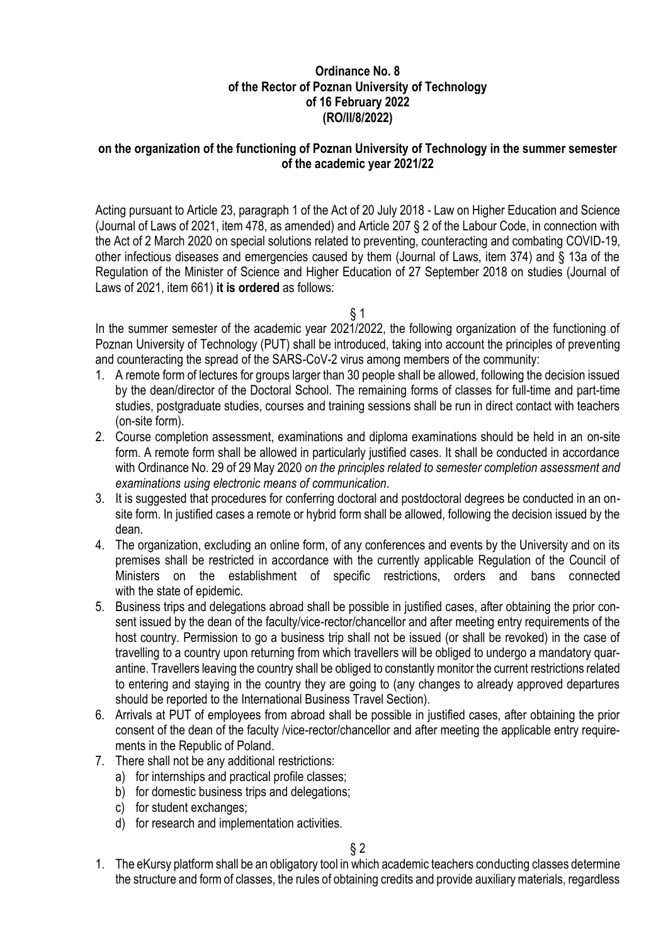# **Ordinance No. 8 of the Rector of Poznan University of Technology of 16 February 2022 (RO/II/8/2022)**

### **on the organization of the functioning of Poznan University of Technology in the summer semester of the academic year 2021/22**

Acting pursuant to Article 23, paragraph 1 of the Act of 20 July 2018 - Law on Higher Education and Science (Journal of Laws of 2021, item 478, as amended) and Article 207 § 2 of the Labour Code, in connection with the Act of 2 March 2020 on special solutions related to preventing, counteracting and combating COVID-19, other infectious diseases and emergencies caused by them (Journal of Laws, item 374) and § 13a of the Regulation of the Minister of Science and Higher Education of 27 September 2018 on studies (Journal of Laws of 2021, item 661) **it is ordered** as follows:

 $§ 1$ 

In the summer semester of the academic year 2021/2022, the following organization of the functioning of Poznan University of Technology (PUT) shall be introduced, taking into account the principles of preventing and counteracting the spread of the SARS-CoV-2 virus among members of the community:

- 1. A remote form of lectures for groups larger than 30 people shall be allowed, following the decision issued by the dean/director of the Doctoral School. The remaining forms of classes for full-time and part-time studies, postgraduate studies, courses and training sessions shall be run in direct contact with teachers (on-site form).
- 2. Course completion assessment, examinations and diploma examinations should be held in an on-site form. A remote form shall be allowed in particularly justified cases. It shall be conducted in accordance with Ordinance No. 29 of 29 May 2020 *on the principles related to semester completion assessment and examinations using electronic means of communication*.
- 3. It is suggested that procedures for conferring doctoral and postdoctoral degrees be conducted in an onsite form. In justified cases a remote or hybrid form shall be allowed, following the decision issued by the dean.
- 4. The organization, excluding an online form, of any conferences and events by the University and on its premises shall be restricted in accordance with the currently applicable Regulation of the Council of Ministers on the establishment of specific restrictions, orders and bans connected with the state of epidemic.
- 5. Business trips and delegations abroad shall be possible in justified cases, after obtaining the prior consent issued by the dean of the faculty/vice-rector/chancellor and after meeting entry requirements of the host country. Permission to go a business trip shall not be issued (or shall be revoked) in the case of travelling to a country upon returning from which travellers will be obliged to undergo a mandatory quarantine. Travellers leaving the country shall be obliged to constantly monitor the current restrictions related to entering and staying in the country they are going to (any changes to already approved departures should be reported to the International Business Travel Section).
- 6. Arrivals at PUT of employees from abroad shall be possible in justified cases, after obtaining the prior consent of the dean of the faculty /vice-rector/chancellor and after meeting the applicable entry requirements in the Republic of Poland.
- 7. There shall not be any additional restrictions:
	- a) for internships and practical profile classes;
	- b) for domestic business trips and delegations:
	- c) for student exchanges;
	- d) for research and implementation activities.

1. The eKursy platform shall be an obligatory tool in which academic teachers conducting classes determine the structure and form of classes, the rules of obtaining credits and provide auxiliary materials, regardless